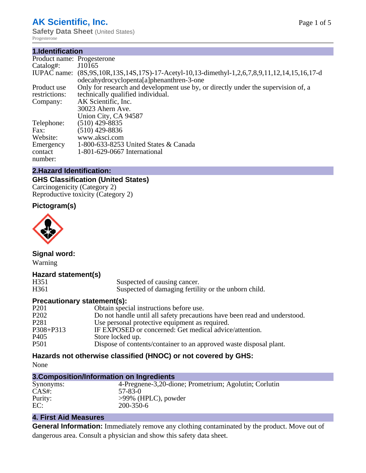# **AK Scientific, Inc.**

**Safety Data Sheet** (United States) Progesterone

#### **1.Identification**

| Product name: Progesterone |                                                                                                                                          |
|----------------------------|------------------------------------------------------------------------------------------------------------------------------------------|
| Catalog#:                  | J10165                                                                                                                                   |
|                            | IUPAC name: (8S,9S,10R,13S,14S,17S)-17-Acetyl-10,13-dimethyl-1,2,6,7,8,9,11,12,14,15,16,17-d<br>odecahydrocyclopenta[a]phenanthren-3-one |
| Product use                | Only for research and development use by, or directly under the supervision of, a                                                        |
| restrictions:              | technically qualified individual.                                                                                                        |
| Company:                   | AK Scientific, Inc.                                                                                                                      |
|                            | 30023 Ahern Ave.                                                                                                                         |
|                            | Union City, CA 94587                                                                                                                     |
| Telephone:                 | $(510)$ 429-8835                                                                                                                         |
| Fax:                       | $(510)$ 429-8836                                                                                                                         |
| Website:                   | www.aksci.com                                                                                                                            |
| Emergency                  | 1-800-633-8253 United States & Canada                                                                                                    |
| contact                    | 1-801-629-0667 International                                                                                                             |
| number:                    |                                                                                                                                          |

#### **2.Hazard Identification:**

# **GHS Classification (United States)**

Carcinogenicity (Category 2) Reproductive toxicity (Category 2)

## **Pictogram(s)**



**Signal word:** Warning

#### **Hazard statement(s)**

H351 Suspected of causing cancer.<br>H361 Suspected of damaging fertili Suspected of damaging fertility or the unborn child.

#### **Precautionary statement(s):**

| Obtain special instructions before use.                                   |
|---------------------------------------------------------------------------|
| Do not handle until all safety precautions have been read and understood. |
| Use personal protective equipment as required.                            |
| IF EXPOSED or concerned: Get medical advice/attention.                    |
| Store locked up.                                                          |
| Dispose of contents/container to an approved waste disposal plant.        |
|                                                                           |

# **Hazards not otherwise classified (HNOC) or not covered by GHS:**

None

#### **3.Composition/Information on Ingredients**

| Synonyms: | 4-Pregnene-3,20-dione; Prometrium; Agolutin; Corlutin |
|-----------|-------------------------------------------------------|
| $CAS#$ :  | 57-83-0                                               |
| Purity:   | $>99\%$ (HPLC), powder                                |
| EC:       | 200-350-6                                             |

#### **4. First Aid Measures**

**General Information:** Immediately remove any clothing contaminated by the product. Move out of dangerous area. Consult a physician and show this safety data sheet.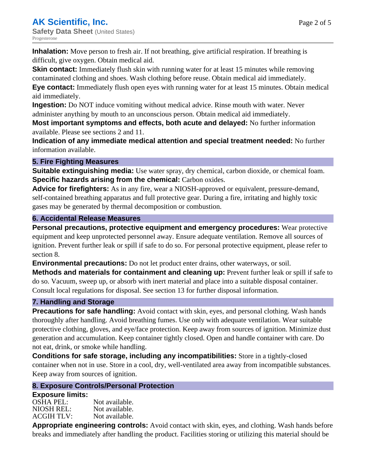**Inhalation:** Move person to fresh air. If not breathing, give artificial respiration. If breathing is difficult, give oxygen. Obtain medical aid.

**Skin contact:** Immediately flush skin with running water for at least 15 minutes while removing contaminated clothing and shoes. Wash clothing before reuse. Obtain medical aid immediately. **Eye contact:** Immediately flush open eyes with running water for at least 15 minutes. Obtain medical

aid immediately.

**Ingestion:** Do NOT induce vomiting without medical advice. Rinse mouth with water. Never administer anything by mouth to an unconscious person. Obtain medical aid immediately.

**Most important symptoms and effects, both acute and delayed:** No further information available. Please see sections 2 and 11.

**Indication of any immediate medical attention and special treatment needed:** No further information available.

## **5. Fire Fighting Measures**

**Suitable extinguishing media:** Use water spray, dry chemical, carbon dioxide, or chemical foam. **Specific hazards arising from the chemical:** Carbon oxides.

**Advice for firefighters:** As in any fire, wear a NIOSH-approved or equivalent, pressure-demand, self-contained breathing apparatus and full protective gear. During a fire, irritating and highly toxic gases may be generated by thermal decomposition or combustion.

## **6. Accidental Release Measures**

**Personal precautions, protective equipment and emergency procedures:** Wear protective equipment and keep unprotected personnel away. Ensure adequate ventilation. Remove all sources of ignition. Prevent further leak or spill if safe to do so. For personal protective equipment, please refer to section 8.

**Environmental precautions:** Do not let product enter drains, other waterways, or soil.

**Methods and materials for containment and cleaning up:** Prevent further leak or spill if safe to do so. Vacuum, sweep up, or absorb with inert material and place into a suitable disposal container. Consult local regulations for disposal. See section 13 for further disposal information.

#### **7. Handling and Storage**

**Precautions for safe handling:** Avoid contact with skin, eyes, and personal clothing. Wash hands thoroughly after handling. Avoid breathing fumes. Use only with adequate ventilation. Wear suitable protective clothing, gloves, and eye/face protection. Keep away from sources of ignition. Minimize dust generation and accumulation. Keep container tightly closed. Open and handle container with care. Do not eat, drink, or smoke while handling.

**Conditions for safe storage, including any incompatibilities:** Store in a tightly-closed container when not in use. Store in a cool, dry, well-ventilated area away from incompatible substances. Keep away from sources of ignition.

# **8. Exposure Controls/Personal Protection**

# **Exposure limits:**

| <b>OSHA PEL:</b>  | Not available. |
|-------------------|----------------|
| NIOSH REL:        | Not available. |
| <b>ACGIH TLV:</b> | Not available. |

**Appropriate engineering controls:** Avoid contact with skin, eyes, and clothing. Wash hands before breaks and immediately after handling the product. Facilities storing or utilizing this material should be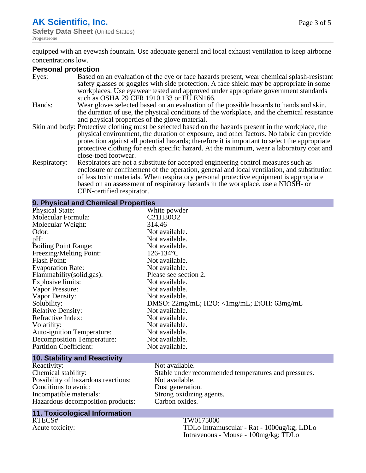# **AK Scientific, Inc.**

**Safety Data Sheet (United States)** Progesterone

Page 3 of 5

equipped with an eyewash fountain. Use adequate general and local exhaust ventilation to keep airborne concentrations low.

#### **Personal protection**

| Eyes:        | Based on an evaluation of the eye or face hazards present, wear chemical splash-resistant              |
|--------------|--------------------------------------------------------------------------------------------------------|
|              | safety glasses or goggles with side protection. A face shield may be appropriate in some               |
|              | workplaces. Use eyewear tested and approved under appropriate government standards                     |
|              | such as OSHA 29 CFR 1910.133 or EU EN166.                                                              |
| Hands:       | Wear gloves selected based on an evaluation of the possible hazards to hands and skin,                 |
|              | the duration of use, the physical conditions of the workplace, and the chemical resistance             |
|              | and physical properties of the glove material.                                                         |
|              | Skin and body: Protective clothing must be selected based on the hazards present in the workplace, the |
|              | physical environment, the duration of exposure, and other factors. No fabric can provide               |
|              | protection against all potential hazards; therefore it is important to select the appropriate          |
|              | protective clothing for each specific hazard. At the minimum, wear a laboratory coat and               |
|              | close-toed footwear.                                                                                   |
| Respiratory: | Respirators are not a substitute for accepted engineering control measures such as                     |
|              | enclosure or confinement of the operation, general and local ventilation, and substitution             |
|              | of less toxic materials. When respiratory personal protective equipment is appropriate                 |
|              | based on an assessment of respiratory hazards in the workplace, use a NIOSH- or                        |

CEN-certified respirator.

| 9. Physical and Chemical Properties |                                                              |
|-------------------------------------|--------------------------------------------------------------|
| <b>Physical State:</b>              | White powder                                                 |
| Molecular Formula:                  | C21H30O2                                                     |
| Molecular Weight:                   | 314.46                                                       |
| Odor:                               | Not available.                                               |
| pH:                                 | Not available.                                               |
| <b>Boiling Point Range:</b>         | Not available.                                               |
| Freezing/Melting Point:             | $126 - 134$ °C                                               |
| <b>Flash Point:</b>                 | Not available.                                               |
| <b>Evaporation Rate:</b>            | Not available.                                               |
| Flammability (solid, gas):          | Please see section 2.                                        |
| Explosive limits:                   | Not available.                                               |
| Vapor Pressure:                     | Not available.                                               |
| Vapor Density:                      | Not available.                                               |
| Solubility:                         | DMSO: $22mg/mL$ ; $H2O$ : $\langle 1mg/mL$ ; EtOH: $63mg/mL$ |
| <b>Relative Density:</b>            | Not available.                                               |
| Refractive Index:                   | Not available.                                               |
| Volatility:                         | Not available.                                               |
| Auto-ignition Temperature:          | Not available.                                               |
| <b>Decomposition Temperature:</b>   | Not available.                                               |
| <b>Partition Coefficient:</b>       | Not available.                                               |
| <b>10. Stability and Reactivity</b> |                                                              |
|                                     |                                                              |

Reactivity: Not available.<br>Chemical stability: Stable under re Possibility of hazardous reactions: Not available.<br>Conditions to avoid: Dust generation. Conditions to avoid:<br>Incompatible materials: Hazardous decomposition products:

Stable under recommended temperatures and pressures.<br>Not available. Strong oxidizing agents.<br>Carbon oxides.

# **11. Toxicological Information**

RTECS# TW0175000<br>Acute toxicity: TDLo Intram TDLo Intramuscular - Rat - 1000ug/kg; LDLo Intravenous - Mouse - 100mg/kg; TDLo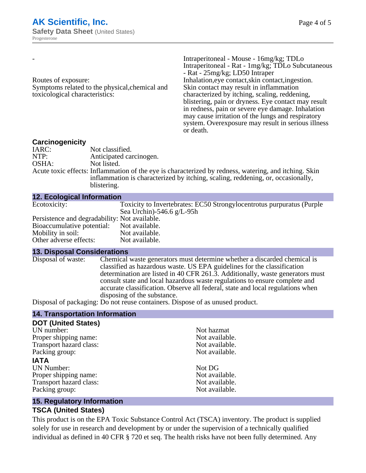|                                                                                  |                         | Intraperitoneal - Mouse - 16mg/kg; TDLo                                                                                                                                    |
|----------------------------------------------------------------------------------|-------------------------|----------------------------------------------------------------------------------------------------------------------------------------------------------------------------|
|                                                                                  |                         | Intraperitoneal - Rat - 1mg/kg; TDLo Subcutaneous                                                                                                                          |
|                                                                                  |                         | - Rat - 25mg/kg; LD50 Intraper                                                                                                                                             |
| Routes of exposure:                                                              |                         | Inhalation, eye contact, skin contact, ingestion.                                                                                                                          |
| Symptoms related to the physical, chemical and<br>toxicological characteristics: |                         | Skin contact may result in inflammation                                                                                                                                    |
|                                                                                  |                         | characterized by itching, scaling, reddening,                                                                                                                              |
|                                                                                  |                         | blistering, pain or dryness. Eye contact may result                                                                                                                        |
|                                                                                  |                         | in redness, pain or severe eye damage. Inhalation<br>may cause irritation of the lungs and respiratory<br>system. Over exposure may result in serious illness<br>or death. |
| Carcinogenicity                                                                  |                         |                                                                                                                                                                            |
| IARC:                                                                            | Not classified.         |                                                                                                                                                                            |
| NTP:                                                                             | Anticipated carcinogen. |                                                                                                                                                                            |
|                                                                                  |                         |                                                                                                                                                                            |

OSHA: Not listed.

Acute toxic effects: Inflammation of the eye is characterized by redness, watering, and itching. Skin inflammation is characterized by itching, scaling, reddening, or, occasionally, blistering.

| <b>12. Ecological Information</b>             |                                                                       |
|-----------------------------------------------|-----------------------------------------------------------------------|
| Ecotoxicity:                                  | Toxicity to Invertebrates: EC50 Strongylocentrotus purpuratus (Purple |
|                                               | Sea Urchin)-546.6 $g/L$ -95h                                          |
| Persistence and degradability: Not available. |                                                                       |
| Bioaccumulative potential: Not available.     |                                                                       |
| Mobility in soil:                             | Not available.                                                        |
| Other adverse effects:                        | Not available.                                                        |

# **13. Disposal Considerations**

**14. Transportation Information**

Chemical waste generators must determine whether a discarded chemical is classified as hazardous waste. US EPA guidelines for the classification determination are listed in 40 CFR 261.3. Additionally, waste generators must consult state and local hazardous waste regulations to ensure complete and accurate classification. Observe all federal, state and local regulations when disposing of the substance.

Disposal of packaging: Do not reuse containers. Dispose of as unused product.

| $1.7.$ Transportanon information |                |  |
|----------------------------------|----------------|--|
| <b>DOT (United States)</b>       |                |  |
| UN number:                       | Not hazmat     |  |
| Proper shipping name:            | Not available. |  |
| Transport hazard class:          | Not available. |  |
| Packing group:                   | Not available. |  |
| <b>IATA</b>                      |                |  |
| <b>UN Number:</b>                | Not DG         |  |
| Proper shipping name:            | Not available. |  |
| Transport hazard class:          | Not available. |  |
| Packing group:                   | Not available. |  |
|                                  |                |  |

#### **15. Regulatory Information**

#### **TSCA (United States)**

This product is on the EPA Toxic Substance Control Act (TSCA) inventory. The product is supplied solely for use in research and development by or under the supervision of a technically qualified individual as defined in 40 CFR § 720 et seq. The health risks have not been fully determined. Any